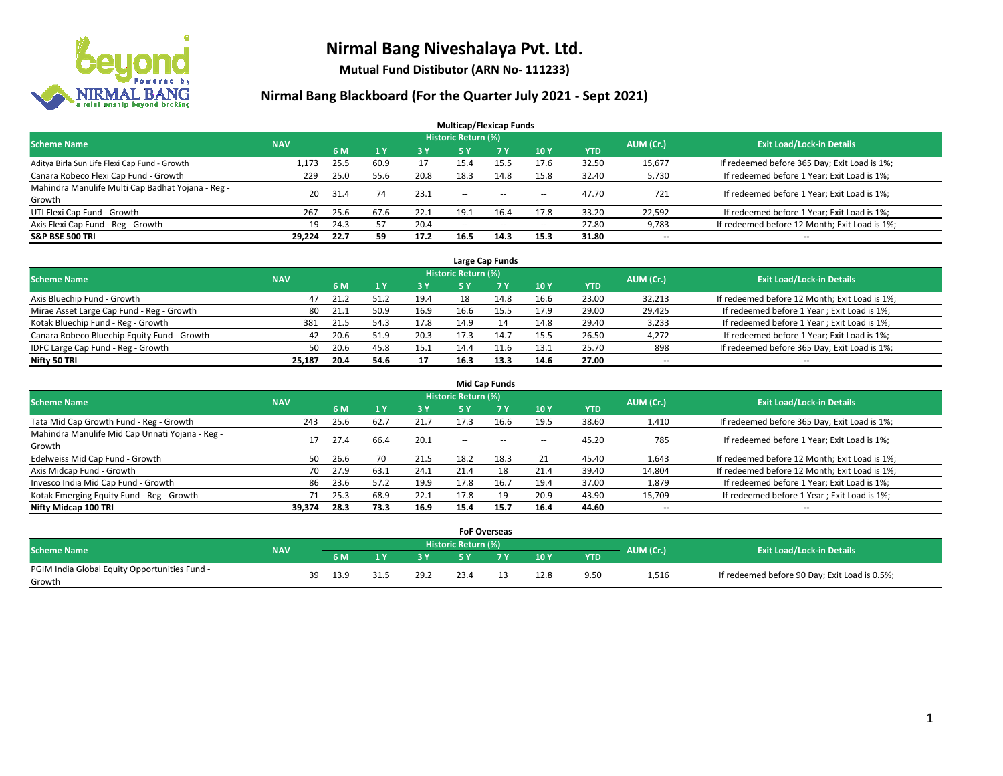

**Mutual Fund Distibutor (ARN No- 111233)**

| <b>Multicap/Flexicap Funds</b>                    |            |      |      |           |                            |                                                |            |            |           |                                               |  |  |  |
|---------------------------------------------------|------------|------|------|-----------|----------------------------|------------------------------------------------|------------|------------|-----------|-----------------------------------------------|--|--|--|
| <b>Scheme Name</b>                                | <b>NAV</b> |      |      |           | <b>Historic Return (%)</b> |                                                |            |            | AUM (Cr.) | <b>Exit Load/Lock-in Details</b>              |  |  |  |
|                                                   |            | 6 M  | 71 Y | <b>3Y</b> | <b>5Y</b>                  | <b>7Y</b>                                      | <b>10Y</b> | <b>YTD</b> |           |                                               |  |  |  |
| Aditya Birla Sun Life Flexi Cap Fund - Growth     | 1,173      | 25.5 | 60.9 | 17        | 15.4                       | 15.5                                           | 17.6       | 32.50      | 15,677    | If redeemed before 365 Day; Exit Load is 1%;  |  |  |  |
| Canara Robeco Flexi Cap Fund - Growth             | 229        | 25.0 | 55.6 | 20.8      | 18.3                       | 14.8                                           | 15.8       | 32.40      | 5,730     | If redeemed before 1 Year; Exit Load is 1%;   |  |  |  |
| Mahindra Manulife Multi Cap Badhat Yojana - Reg - | 20         | 31.4 | 74   | 23.1      | $\sim$ $\sim$              | $\hspace{0.1mm}-\hspace{0.1mm}-\hspace{0.1mm}$ |            | 47.70      | 721       | If redeemed before 1 Year; Exit Load is 1%;   |  |  |  |
| Growth                                            |            |      |      |           |                            |                                                | --         |            |           |                                               |  |  |  |
| UTI Flexi Cap Fund - Growth                       | 267        | 25.6 | 67.6 | 22.1      | 19.1                       | 16.4                                           | 17.8       | 33.20      | 22,592    | If redeemed before 1 Year; Exit Load is 1%;   |  |  |  |
| Axis Flexi Cap Fund - Reg - Growth                | 19         | 24.3 | 57   | 20.4      | $\overline{\phantom{a}}$   | $\sim$                                         | --         | 27.80      | 9,783     | If redeemed before 12 Month; Exit Load is 1%; |  |  |  |
| <b>S&amp;P BSE 500 TRI</b>                        | 29,224     | 22.7 | 59   | 17.2      | 16.5                       | 14.3                                           | 15.3       | 31.80      | --        | $\overline{\phantom{m}}$                      |  |  |  |

| Large Cap Funds                             |            |      |           |                                  |      |            |      |            |        |                                               |  |  |  |
|---------------------------------------------|------------|------|-----------|----------------------------------|------|------------|------|------------|--------|-----------------------------------------------|--|--|--|
| <b>Scheme Name</b>                          | <b>NAV</b> |      | AUM (Cr.) | <b>Exit Load/Lock-in Details</b> |      |            |      |            |        |                                               |  |  |  |
|                                             |            | 6 M  |           | 3 Y                              |      | <b>7 Y</b> | 10Y  | <b>YTD</b> |        |                                               |  |  |  |
| Axis Bluechip Fund - Growth                 | 47         | 21.2 | 51.2      | 19.4                             | 18   | 14.8       | 16.6 | 23.00      | 32,213 | If redeemed before 12 Month; Exit Load is 1%; |  |  |  |
| Mirae Asset Large Cap Fund - Reg - Growth   | 80         | 21.1 | 50.9      | 16.9                             | 16.6 | 15.5       | 17.9 | 29.00      | 29,425 | If redeemed before 1 Year; Exit Load is 1%;   |  |  |  |
| Kotak Bluechip Fund - Reg - Growth          | 381        | 21.5 | 54.3      | 17.8                             | 14.9 |            | 14.8 | 29.40      | 3,233  | If redeemed before 1 Year; Exit Load is 1%;   |  |  |  |
| Canara Robeco Bluechip Equity Fund - Growth | 42         | 20.6 | 51.9      | 20.3                             | 17.3 |            | 15.5 | 26.50      | 4,272  | If redeemed before 1 Year; Exit Load is 1%;   |  |  |  |
| IDFC Large Cap Fund - Reg - Growth          | 50         | 20.6 | 45.8      | 15.1                             | 14.4 |            | 13.1 | 25.70      | 898    | If redeemed before 365 Day; Exit Load is 1%;  |  |  |  |
| Nifty 50 TRI                                | 25.187     | 20.4 | 54.6      | 17                               | 16.3 | 13.3       | 14.6 | 27.00      | $- -$  | $- -$                                         |  |  |  |

| <b>Mid Cap Funds</b>                            |            |           |      |      |                     |           |                          |            |           |                                               |  |  |  |
|-------------------------------------------------|------------|-----------|------|------|---------------------|-----------|--------------------------|------------|-----------|-----------------------------------------------|--|--|--|
| <b>Scheme Name</b>                              | <b>NAV</b> |           |      |      | Historic Return (%) |           |                          |            | AUM (Cr.) | <b>Exit Load/Lock-in Details</b>              |  |  |  |
|                                                 |            | <b>6M</b> |      | 3 Y  | 5 Y                 | <b>7Y</b> | 10Y                      | <b>YTD</b> |           |                                               |  |  |  |
| Tata Mid Cap Growth Fund - Reg - Growth         | 243        | 25.6      | 62.7 | 21.7 | 17.3                | 16.6      | 19.5                     | 38.60      | 1,410     | If redeemed before 365 Day; Exit Load is 1%;  |  |  |  |
| Mahindra Manulife Mid Cap Unnati Yojana - Reg - |            | 27.4      | 66.4 | 20.1 | $-$                 | $\sim$    | $\overline{\phantom{a}}$ | 45.20      | 785       | If redeemed before 1 Year; Exit Load is 1%;   |  |  |  |
| Growth                                          |            |           |      |      |                     |           |                          |            |           |                                               |  |  |  |
| Edelweiss Mid Cap Fund - Growth                 | 50         | 26.6      | 70   | 21.5 | 18.2                | 18.3      | 21                       | 45.40      | 1,643     | If redeemed before 12 Month; Exit Load is 1%; |  |  |  |
| Axis Midcap Fund - Growth                       | 70         | 27.9      | 63.1 | 24.1 | 21.4                | 18        | 21.4                     | 39.40      | 14,804    | If redeemed before 12 Month; Exit Load is 1%; |  |  |  |
| Invesco India Mid Cap Fund - Growth             | 86         | 23.6      | 57.2 | 19.9 | 17.8                | 16.7      | 19.4                     | 37.00      | 1,879     | If redeemed before 1 Year; Exit Load is 1%;   |  |  |  |
| Kotak Emerging Equity Fund - Reg - Growth       |            | 25.3      | 68.9 | 22.1 | 17.8                | 19        | 20.9                     | 43.90      | 15,709    | If redeemed before 1 Year; Exit Load is 1%;   |  |  |  |
| Nifty Midcap 100 TRI                            | 39.374     | 28.3      | 73.3 | 16.9 | 15.4                | 15.7      | 16.4                     | 44.60      | $- -$     | $\overline{\phantom{a}}$                      |  |  |  |

|                                               |            |    |      |      | <b>FoF Overseas</b>        |     |                 |            |           |                                               |
|-----------------------------------------------|------------|----|------|------|----------------------------|-----|-----------------|------------|-----------|-----------------------------------------------|
| Scheme Name                                   | <b>NAV</b> |    |      |      | <b>Historic Return (%)</b> |     |                 |            | AUM (Cr.) | <b>Exit Load/Lock-in Details</b>              |
|                                               |            |    | 6 M  | зv   |                            | ע ל | 10 <sub>Y</sub> | <b>YTD</b> |           |                                               |
| PGIM India Global Equity Opportunities Fund - |            | 39 | 13.9 | 29.2 | 23.4                       |     | 12.8            | 9.50       | 1,516     | If redeemed before 90 Day; Exit Load is 0.5%; |
| Growth                                        |            |    |      |      |                            |     |                 |            |           |                                               |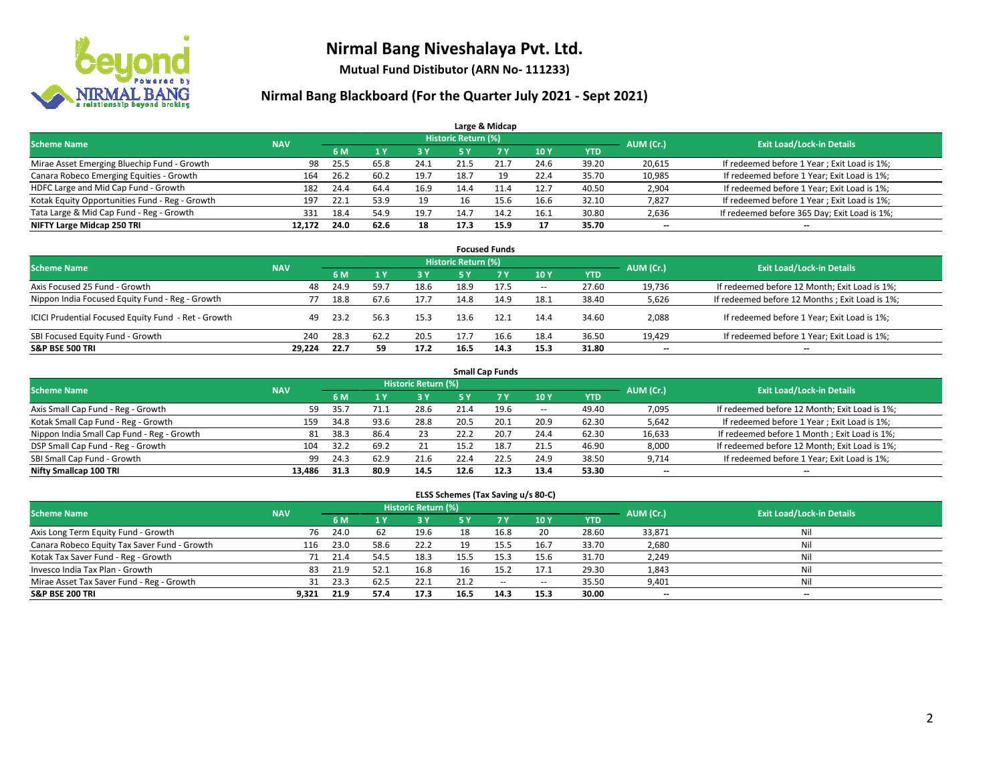

**Mutual Fund Distibutor (ARN No- 111233)**

### **Nirmal Bang Blackboard (For the Quarter July 2021 - Sept 2021)**

|                                                |            |      |      |            |                            | Large & Midcap |            |            |           |                                              |
|------------------------------------------------|------------|------|------|------------|----------------------------|----------------|------------|------------|-----------|----------------------------------------------|
| <b>Scheme Name</b>                             | <b>NAV</b> |      |      |            | <b>Historic Return (%)</b> |                |            |            | AUM (Cr.) | <b>Exit Load/Lock-in Details</b>             |
|                                                |            | 6 M  |      | <b>3 Y</b> | <b>5 Y</b>                 | <b>7 Y</b>     | <b>10Y</b> | <b>YTD</b> |           |                                              |
| Mirae Asset Emerging Bluechip Fund - Growth    | 98         | 25.5 | 65.8 | 24.1       | 21.5                       | 21.7           | 24.6       | 39.20      | 20,615    | If redeemed before 1 Year; Exit Load is 1%;  |
| Canara Robeco Emerging Equities - Growth       | 164        | 26.2 | 60.2 | 19.7       | 18.7                       | 19             | 22.4       | 35.70      | 10,985    | If redeemed before 1 Year; Exit Load is 1%;  |
| HDFC Large and Mid Cap Fund - Growth           | 182        | 24.4 | 64.4 | 16.9       | 14.4                       | 11.4           | 12.7       | 40.50      | 2,904     | If redeemed before 1 Year; Exit Load is 1%;  |
| Kotak Equity Opportunities Fund - Reg - Growth | 197        | 22.1 | 53.9 | 19         | 16                         | 15.6           | 16.6       | 32.10      | 7,827     | If redeemed before 1 Year; Exit Load is 1%;  |
| Tata Large & Mid Cap Fund - Reg - Growth       | 331        | 18.4 | 54.9 | 19.7       | 14.7                       | 14.2           | 16.1       | 30.80      | 2,636     | If redeemed before 365 Day; Exit Load is 1%; |
| NIFTY Large Midcap 250 TRI                     | 12.172     | 24.0 | 62.6 | 18         | 17.3                       | 15.9           | 17         | 35.70      | $- -$     | $\overline{\phantom{a}}$                     |

| <b>Focused Funds</b>                                |            |      |      |      |                     |           |                          |       |                          |                                                 |  |  |  |
|-----------------------------------------------------|------------|------|------|------|---------------------|-----------|--------------------------|-------|--------------------------|-------------------------------------------------|--|--|--|
| <b>Scheme Name</b>                                  | <b>NAV</b> |      |      |      | Historic Return (%) |           |                          |       | AUM (Cr.)                | <b>Exit Load/Lock-in Details</b>                |  |  |  |
|                                                     |            | 6 M  |      | 3V   | 5 Y                 | <b>7Y</b> | 10Y                      | YTD   |                          |                                                 |  |  |  |
| Axis Focused 25 Fund - Growth                       | 48         | 24.9 | 59.7 | 18.6 | 18.9                | 17.5      | $\overline{\phantom{a}}$ | 27.60 | 19,736                   | If redeemed before 12 Month; Exit Load is 1%;   |  |  |  |
| Nippon India Focused Equity Fund - Reg - Growth     |            | 18.8 | 67.6 | 17.7 | 14.8                | 14.9      | 18.1                     | 38.40 | 5,626                    | If redeemed before 12 Months ; Exit Load is 1%; |  |  |  |
| ICICI Prudential Focused Equity Fund - Ret - Growth | 49         | 23.2 | 56.3 | 15.3 | 13.6                | 12.1      | 14.4                     | 34.60 | 2,088                    | If redeemed before 1 Year; Exit Load is 1%;     |  |  |  |
| SBI Focused Equity Fund - Growth                    | 240        | 28.3 | 62.2 | 20.5 | 17.7                | 16.6      | 18.4                     | 36.50 | 19,429                   | If redeemed before 1 Year; Exit Load is 1%;     |  |  |  |
| <b>S&amp;P BSE 500 TRI</b>                          | 29.224     | 22.7 | 59   | 17.2 | 16.5                | 14.3      | 15.3                     | 31.80 | $\overline{\phantom{a}}$ | --                                              |  |  |  |

|                                            | <b>Small Cap Funds</b> |                                  |      |      |      |           |        |            |        |                                               |  |  |  |  |  |
|--------------------------------------------|------------------------|----------------------------------|------|------|------|-----------|--------|------------|--------|-----------------------------------------------|--|--|--|--|--|
| <b>Scheme Name</b>                         | AUM (Cr.)              | <b>Exit Load/Lock-in Details</b> |      |      |      |           |        |            |        |                                               |  |  |  |  |  |
|                                            | <b>NAV</b>             | 6 M                              |      | 3 Y  | 5 Y  | <b>7Y</b> | 10Y    | <b>YTD</b> |        |                                               |  |  |  |  |  |
| Axis Small Cap Fund - Reg - Growth         | 59                     | 35.7                             | 71.1 | 28.6 | 21.4 | 19.6      | $\sim$ | 49.40      | 7,095  | If redeemed before 12 Month; Exit Load is 1%; |  |  |  |  |  |
| Kotak Small Cap Fund - Reg - Growth        | 159                    | 34.8                             | 93.6 | 28.8 | 20.5 | 20.1      | 20.9   | 62.30      | 5,642  | If redeemed before 1 Year; Exit Load is 1%;   |  |  |  |  |  |
| Nippon India Small Cap Fund - Reg - Growth | 81                     | 38.3                             | 86.4 | 23   | 22.2 | 20.7      | 24.4   | 62.30      | 16,633 | If redeemed before 1 Month; Exit Load is 1%;  |  |  |  |  |  |
| DSP Small Cap Fund - Reg - Growth          | 104                    | 32.2                             | 69.2 | 21   | 15.2 | 18.7      | 21.5   | 46.90      | 8,000  | If redeemed before 12 Month; Exit Load is 1%; |  |  |  |  |  |
| SBI Small Cap Fund - Growth                | 99                     | 24.3                             | 62.9 | 21.6 | 22.4 | 22.5      | 24.9   | 38.50      | 9,714  | If redeemed before 1 Year; Exit Load is 1%;   |  |  |  |  |  |
| Nifty Smallcap 100 TRI                     | 13.486                 | 31.3                             | 80.9 | 14.5 | 12.6 | 12.3      | 13.4   | 53.30      | --     | $\overline{\phantom{m}}$                      |  |  |  |  |  |

#### **ELSS Schemes (Tax Saving u/s 80-C)**

| <b>Scheme Name</b>                           | <b>NAV</b> |      |      | <b>Historic Return (%)</b> |           |      |            |            | AUM (Cr.) | <b>Exit Load/Lock-in Details</b> |
|----------------------------------------------|------------|------|------|----------------------------|-----------|------|------------|------------|-----------|----------------------------------|
|                                              |            | 6 M  |      | <b>3Y</b>                  | <b>5Y</b> | 7Y   | <b>10Y</b> | <b>YTD</b> |           |                                  |
| Axis Long Term Equity Fund - Growth          | 76         | 24.0 | 62   | 19.6                       | 18        | 16.8 | 20         | 28.60      | 33,871    | Nil                              |
| Canara Robeco Equity Tax Saver Fund - Growth | 116        | 23.0 | 58.6 | 22.2                       | 19        | 15.5 | 16.7       | 33.70      | 2,680     | Nil                              |
| Kotak Tax Saver Fund - Reg - Growth          | 71         | 21.4 | 54.5 | 18.3                       | 15.5      | 15.3 | 15.6       | 31.70      | 2,249     | Nil                              |
| Invesco India Tax Plan - Growth              | 83         | 21.9 | 52.1 | 16.8                       | 16        | 15.2 | 17.1       | 29.30      | 1,843     | Nil                              |
| Mirae Asset Tax Saver Fund - Reg - Growth    | 31         | 23.3 | 62.5 | 22.1                       | 21.2      | $-$  | $\!-$      | 35.50      | 9,401     | Nil                              |
| <b>S&amp;P BSE 200 TRI</b>                   | 9,321      | 21.9 | 57.4 | 17.3                       | 16.5      | 14.3 | 15.3       | 30.00      | --        | $\overline{\phantom{a}}$         |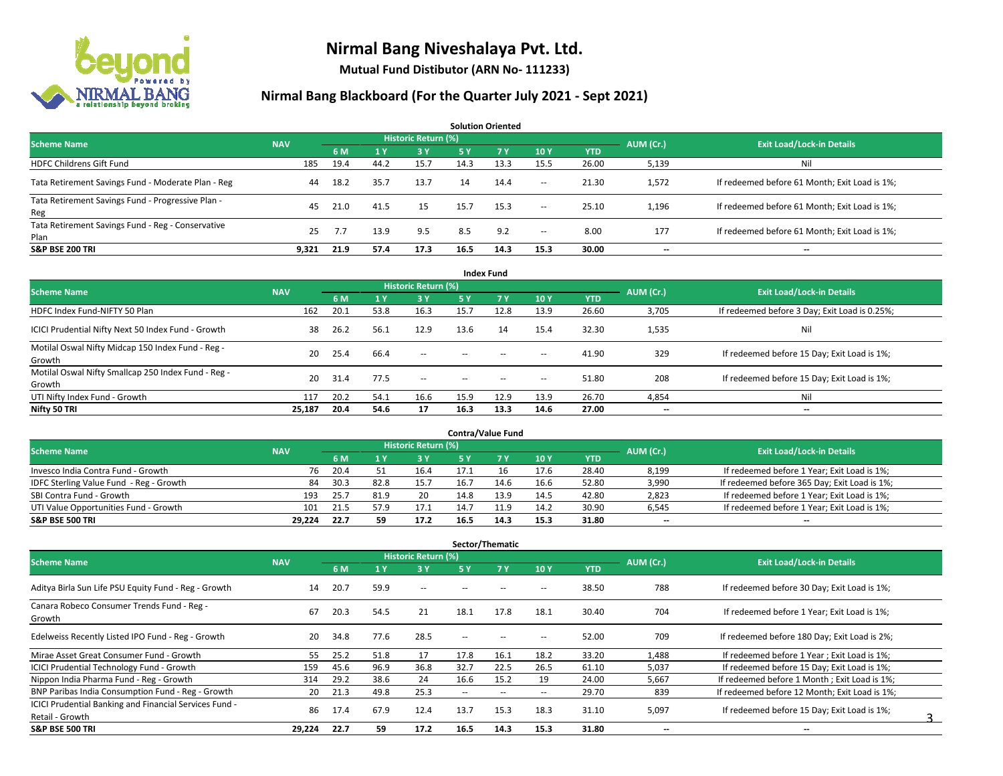

**Mutual Fund Distibutor (ARN No- 111233)**

|                                                           |            |      |      |                            |      | <b>Solution Oriented</b> |                          |            |                          |                                               |
|-----------------------------------------------------------|------------|------|------|----------------------------|------|--------------------------|--------------------------|------------|--------------------------|-----------------------------------------------|
| <b>Scheme Name</b>                                        | <b>NAV</b> |      |      | <b>Historic Return (%)</b> |      |                          |                          |            |                          | <b>Exit Load/Lock-in Details</b>              |
|                                                           |            | 6 M  | 1 Y  | 3Y                         | 5 Y  | 7 <sub>V</sub>           | 10Y                      | <b>YTD</b> | AUM (Cr.)                |                                               |
| <b>HDFC Childrens Gift Fund</b>                           | 185        | 19.4 | 44.2 | 15.7                       | 14.3 | 13.3                     | 15.5                     | 26.00      | 5,139                    | Nil                                           |
| Tata Retirement Savings Fund - Moderate Plan - Reg        | 44         | 18.2 | 35.7 | 13.7                       | 14   | 14.4                     | $\overline{\phantom{a}}$ | 21.30      | 1,572                    | If redeemed before 61 Month; Exit Load is 1%; |
| Tata Retirement Savings Fund - Progressive Plan -<br>Reg  | 45         | 21.0 | 41.5 | 15                         | 15.7 | 15.3                     | $\sim$                   | 25.10      | 1,196                    | If redeemed before 61 Month; Exit Load is 1%; |
| Tata Retirement Savings Fund - Reg - Conservative<br>Plan | 25         | 7.7  | 13.9 | 9.5                        | 8.5  | 9.2                      | $\sim$                   | 8.00       | 177                      | If redeemed before 61 Month; Exit Load is 1%; |
| <b>S&amp;P BSE 200 TRI</b>                                | 9.321      | 21.9 | 57.4 | 17.3                       | 16.5 | 14.3                     | 15.3                     | 30.00      | $\overline{\phantom{a}}$ | $-$                                           |

| <b>Index Fund</b>                                             |            |      |           |                            |        |            |                          |            |           |                                               |  |  |  |  |
|---------------------------------------------------------------|------------|------|-----------|----------------------------|--------|------------|--------------------------|------------|-----------|-----------------------------------------------|--|--|--|--|
| <b>Scheme Name</b>                                            | <b>NAV</b> |      |           | <b>Historic Return (%)</b> |        |            |                          |            | AUM (Cr.) | <b>Exit Load/Lock-in Details</b>              |  |  |  |  |
|                                                               |            | 6 M  | <b>1Y</b> | 3 Y                        | 5 Y    | <b>7 Y</b> | 10Y                      | <b>YTD</b> |           |                                               |  |  |  |  |
| HDFC Index Fund-NIFTY 50 Plan                                 | 162        | 20.1 | 53.8      | 16.3                       | 15.7   | 12.8       | 13.9                     | 26.60      | 3,705     | If redeemed before 3 Day; Exit Load is 0.25%; |  |  |  |  |
| ICICI Prudential Nifty Next 50 Index Fund - Growth            | 38         | 26.2 | 56.1      | 12.9                       | 13.6   | 14         | 15.4                     | 32.30      | 1,535     | Nil                                           |  |  |  |  |
| Motilal Oswal Nifty Midcap 150 Index Fund - Reg -<br>Growth   | 20         | 25.4 | 66.4      | $\overline{\phantom{a}}$   | $\sim$ | $-$        | $\overline{\phantom{a}}$ | 41.90      | 329       | If redeemed before 15 Day; Exit Load is 1%;   |  |  |  |  |
| Motilal Oswal Nifty Smallcap 250 Index Fund - Reg -<br>Growth | 20         | 31.4 | 77.5      | $\sim$                     | $\sim$ | $\sim$     | $\sim$                   | 51.80      | 208       | If redeemed before 15 Day; Exit Load is 1%;   |  |  |  |  |
| UTI Nifty Index Fund - Growth                                 | 117        | 20.2 | 54.1      | 16.6                       | 15.9   | 12.9       | 13.9                     | 26.70      | 4,854     | Nil                                           |  |  |  |  |
| Nifty 50 TRI                                                  | 25,187     | 20.4 | 54.6      | 17                         | 16.3   | 13.3       | 14.6                     | 27.00      | $- -$     | $\overline{\phantom{a}}$                      |  |  |  |  |

| <b>Contra/Value Fund</b>                |            |      |      |                     |      |      |      |       |           |                                              |  |  |  |
|-----------------------------------------|------------|------|------|---------------------|------|------|------|-------|-----------|----------------------------------------------|--|--|--|
| <b>Scheme Name</b>                      | <b>NAV</b> |      |      | Historic Return (%) |      |      |      |       | AUM (Cr.) | <b>Exit Load/Lock-in Details</b>             |  |  |  |
|                                         |            | 6 M  |      | 3 Y                 |      |      | 10Y  | YTD   |           |                                              |  |  |  |
| Invesco India Contra Fund - Growth      | 76         | 20.4 |      | 16.4                |      |      | 17.6 | 28.40 | 8,199     | If redeemed before 1 Year; Exit Load is 1%;  |  |  |  |
| IDFC Sterling Value Fund - Reg - Growth | 84         | 30.3 | 82.8 | 15.7                | 16.7 | 14.6 | 16.6 | 52.80 | 3,990     | If redeemed before 365 Day; Exit Load is 1%; |  |  |  |
| SBI Contra Fund - Growth                | 193        | 25.7 | 81.9 | 20                  | 14.8 | 13.9 | 14.5 | 42.80 | 2,823     | If redeemed before 1 Year; Exit Load is 1%;  |  |  |  |
| UTI Value Opportunities Fund - Growth   | 101        | 21.5 | 57.9 | 17.1                | 14.7 | 11.9 | 14.2 | 30.90 | 6,545     | If redeemed before 1 Year; Exit Load is 1%;  |  |  |  |
| <b>S&amp;P BSE 500 TRI</b>              | 29.224     | 22.7 | 59   | 17.2                | 16.5 | 14.3 | 15.3 | 31.80 | $- -$     | $- -$                                        |  |  |  |

| Sector/Thematic                                               |            |      |                |                          |        |                          |                          |            |           |                                               |  |  |  |
|---------------------------------------------------------------|------------|------|----------------|--------------------------|--------|--------------------------|--------------------------|------------|-----------|-----------------------------------------------|--|--|--|
| <b>Scheme Name</b>                                            | <b>NAV</b> |      |                | Historic Return (%)      |        |                          |                          |            | AUM (Cr.) | <b>Exit Load/Lock-in Details</b>              |  |  |  |
|                                                               |            | 6 M  | 1 <sup>1</sup> | 3 Y                      | 5 Y    | <b>7Y</b>                | 10Y                      | <b>YTD</b> |           |                                               |  |  |  |
| Aditya Birla Sun Life PSU Equity Fund - Reg - Growth          | 14         | 20.7 | 59.9           | $\overline{\phantom{a}}$ | --     |                          | -                        | 38.50      | 788       | If redeemed before 30 Day; Exit Load is 1%;   |  |  |  |
| Canara Robeco Consumer Trends Fund - Reg -<br>Growth          | 67         | 20.3 | 54.5           | 21                       | 18.1   | 17.8                     | 18.1                     | 30.40      | 704       | If redeemed before 1 Year; Exit Load is 1%;   |  |  |  |
| Edelweiss Recently Listed IPO Fund - Reg - Growth             | 20         | 34.8 | 77.6           | 28.5                     | --     |                          | --                       | 52.00      | 709       | If redeemed before 180 Day; Exit Load is 2%;  |  |  |  |
| Mirae Asset Great Consumer Fund - Growth                      | 55.        | 25.2 | 51.8           | 17                       | 17.8   | 16.1                     | 18.2                     | 33.20      | 1,488     | If redeemed before 1 Year; Exit Load is 1%;   |  |  |  |
| <b>ICICI Prudential Technology Fund - Growth</b>              | 159        | 45.6 | 96.9           | 36.8                     | 32.7   | 22.5                     | 26.5                     | 61.10      | 5,037     | If redeemed before 15 Day; Exit Load is 1%;   |  |  |  |
| Nippon India Pharma Fund - Reg - Growth                       | 314        | 29.2 | 38.6           | 24                       | 16.6   | 15.2                     | 19                       | 24.00      | 5,667     | If redeemed before 1 Month; Exit Load is 1%;  |  |  |  |
| BNP Paribas India Consumption Fund - Reg - Growth             | 20         | 21.3 | 49.8           | 25.3                     | $\sim$ | $\overline{\phantom{a}}$ | $\overline{\phantom{a}}$ | 29.70      | 839       | If redeemed before 12 Month; Exit Load is 1%; |  |  |  |
| <b>ICICI Prudential Banking and Financial Services Fund -</b> | 86         | 17.4 | 67.9           | 12.4                     | 13.7   | 15.3                     | 18.3                     | 31.10      | 5,097     | If redeemed before 15 Day; Exit Load is 1%;   |  |  |  |
| Retail - Growth                                               |            |      |                |                          |        |                          |                          |            |           |                                               |  |  |  |
| <b>S&amp;P BSE 500 TRI</b>                                    | 29,224     | 22.7 | 59             | 17.2                     | 16.5   | 14.3                     | 15.3                     | 31.80      | --        | $\overline{\phantom{a}}$                      |  |  |  |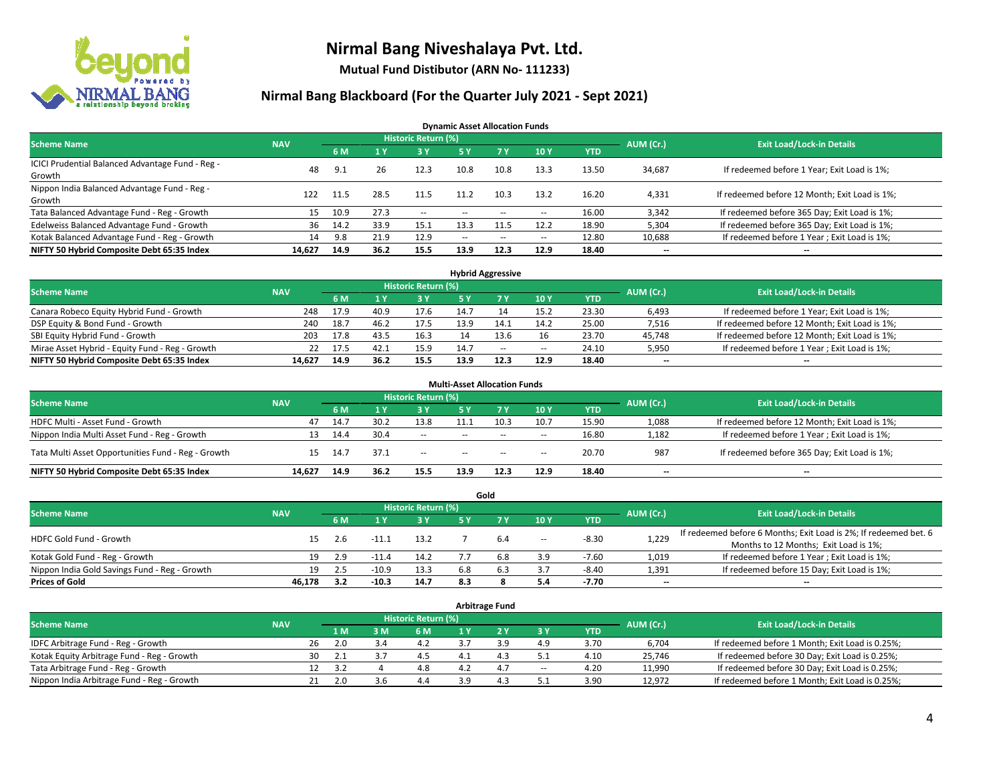

**Mutual Fund Distibutor (ARN No- 111233)**

### **Nirmal Bang Blackboard (For the Quarter July 2021 - Sept 2021)**

**Dynamic Asset Allocation Funds**

| <b>Scheme Name</b>                                         | <b>NAV</b> |      |      | Historic Return (%) |                          |           |       |            |           | <b>Exit Load/Lock-in Details</b>              |
|------------------------------------------------------------|------------|------|------|---------------------|--------------------------|-----------|-------|------------|-----------|-----------------------------------------------|
|                                                            |            | 6 M  |      | <b>3Y</b>           | 5 Y                      | <b>7Y</b> | 10Y   | <b>YTD</b> | AUM (Cr.) |                                               |
| ICICI Prudential Balanced Advantage Fund - Reg -<br>Growth | 48         | 9.1  | 26   | 12.3                | 10.8                     | 10.8      | 13.3  | 13.50      | 34,687    | If redeemed before 1 Year; Exit Load is 1%;   |
| Nippon India Balanced Advantage Fund - Reg -<br>Growth     | 122        | 11.5 | 28.5 | 11.5                | 11.2                     | 10.3      | 13.2  | 16.20      | 4,331     | If redeemed before 12 Month; Exit Load is 1%; |
| Tata Balanced Advantage Fund - Reg - Growth                | 15         | 10.9 | 27.3 | $\sim$              | $\overline{\phantom{a}}$ | $- -$     | $\!-$ | 16.00      | 3,342     | If redeemed before 365 Day; Exit Load is 1%;  |
| Edelweiss Balanced Advantage Fund - Growth                 | 36         | 14.2 | 33.9 | 15.1                | 13.3                     |           | 12.2  | 18.90      | 5,304     | If redeemed before 365 Day; Exit Load is 1%;  |
| Kotak Balanced Advantage Fund - Reg - Growth               | 14         | 9.8  | 21.9 | 12.9                | $\sim$ $\sim$            | $- -$     | $\!-$ | 12.80      | 10,688    | If redeemed before 1 Year; Exit Load is 1%;   |
| NIFTY 50 Hybrid Composite Debt 65:35 Index                 | 14,627     | 14.9 | 36.2 | 15.5                | 13.9                     | 12.3      | 12.9  | 18.40      | --        | --                                            |

| <b>Hybrid Aggressive</b>                        |            |      |      |                     |      |        |                          |            |           |                                               |  |  |  |
|-------------------------------------------------|------------|------|------|---------------------|------|--------|--------------------------|------------|-----------|-----------------------------------------------|--|--|--|
| <b>Scheme Name</b>                              | <b>NAV</b> |      |      | Historic Return (%) |      |        |                          |            | AUM (Cr.) | <b>Exit Load/Lock-in Details</b>              |  |  |  |
|                                                 |            | 6 M  |      | 3 Y                 |      |        | 10Y                      | <b>YTD</b> |           |                                               |  |  |  |
| Canara Robeco Equity Hybrid Fund - Growth       | 248        | 17.9 | 40.9 | 17.6                | 14.7 |        | 15.2                     | 23.30      | 6,493     | If redeemed before 1 Year; Exit Load is 1%;   |  |  |  |
| DSP Equity & Bond Fund - Growth                 | 240        | 18.7 | 46.2 | 17.5                |      |        | 14.2                     | 25.00      | 7,516     | If redeemed before 12 Month; Exit Load is 1%; |  |  |  |
| SBI Equity Hybrid Fund - Growth                 | 203        | 17.8 | 43.5 | 16.3                |      | 13.6   | 16                       | 23.70      | 45,748    | If redeemed before 12 Month; Exit Load is 1%; |  |  |  |
| Mirae Asset Hybrid - Equity Fund - Reg - Growth | 22.        | 17.5 | 42.1 | 15.9                | 14.7 | $\sim$ | $\overline{\phantom{a}}$ | 24.10      | 5,950     | If redeemed before 1 Year; Exit Load is 1%;   |  |  |  |
| NIFTY 50 Hybrid Composite Debt 65:35 Index      | 14.627     | 14.9 | 36.2 | 15.5                | 13.9 | 12.3   | 12.9                     | 18.40      | $- -$     | $\overline{\phantom{a}}$                      |  |  |  |

| <b>Multi-Asset Allocation Funds</b><br><b>Historic Return (%)</b> |            |      |      |        |      |        |        |            |                          |                                               |  |  |  |  |
|-------------------------------------------------------------------|------------|------|------|--------|------|--------|--------|------------|--------------------------|-----------------------------------------------|--|--|--|--|
| <b>Scheme Name</b>                                                | <b>NAV</b> | 6 M  |      | 73 Y   | 5 Y  |        | 10Y    | <b>YTD</b> | AUM (Cr.)                | <b>Exit Load/Lock-in Details</b>              |  |  |  |  |
| HDFC Multi - Asset Fund - Growth                                  | 47         | 14.7 | 30.2 | 13.8   |      | 10.3   | 10.7   | 15.90      | 1,088                    | If redeemed before 12 Month; Exit Load is 1%; |  |  |  |  |
| Nippon India Multi Asset Fund - Reg - Growth                      | 13         | 14.4 | 30.4 | $\sim$ | $-$  | $- -$  | $\sim$ | 16.80      | 1,182                    | If redeemed before 1 Year; Exit Load is 1%;   |  |  |  |  |
| Tata Multi Asset Opportunities Fund - Reg - Growth                | 15         | 14.7 | 37.1 | $-$    | $-$  | $\sim$ | -      | 20.70      | 987                      | If redeemed before 365 Day; Exit Load is 1%;  |  |  |  |  |
| NIFTY 50 Hybrid Composite Debt 65:35 Index                        | 14.627     | 14.9 | 36.2 | 15.5   | 13.9 | 12.3   | 12.9   | 18.40      | $\overline{\phantom{a}}$ | --                                            |  |  |  |  |

| Gold                                          |            |     |         |                            |     |     |        |            |           |                                                                  |  |  |  |  |
|-----------------------------------------------|------------|-----|---------|----------------------------|-----|-----|--------|------------|-----------|------------------------------------------------------------------|--|--|--|--|
| <b>Scheme Name</b>                            | <b>NAV</b> |     |         | <b>Historic Return (%)</b> |     |     |        |            | AUM (Cr.) | <b>Exit Load/Lock-in Details</b>                                 |  |  |  |  |
|                                               |            | 6 M |         | <b>3 Y</b>                 | 5 Y |     | 10Y    | <b>YTD</b> |           |                                                                  |  |  |  |  |
| HDFC Gold Fund - Growth                       |            |     |         | 13.2                       |     | 6.4 |        | $-8.30$    |           | If redeemed before 6 Months; Exit Load is 2%; If redeemed bet. 6 |  |  |  |  |
|                                               | 15         | 2.6 |         |                            |     |     | $\sim$ |            | 1,229     | Months to 12 Months; Exit Load is 1%;                            |  |  |  |  |
| Kotak Gold Fund - Reg - Growth                | 19         | 2.9 | -115    | 14.2                       |     | 6.8 | 3.9    | $-7.60$    | 1,019     | If redeemed before 1 Year; Exit Load is 1%;                      |  |  |  |  |
| Nippon India Gold Savings Fund - Reg - Growth | 19         | 2.5 | $-10.9$ | 13.3                       |     | 6.3 | 3.7    | $-8.40$    | 1,391     | If redeemed before 15 Day; Exit Load is 1%;                      |  |  |  |  |
| <b>Prices of Gold</b>                         | 46.178     | 3.2 | $-10.3$ | 14.7                       | 8.3 |     | 5.4    | -7.70      | $- -$     | $\overline{\phantom{a}}$                                         |  |  |  |  |

| <b>Arbitrage Fund</b>                      |            |    |     |     |                     |    |     |       |            |           |                                                 |  |  |
|--------------------------------------------|------------|----|-----|-----|---------------------|----|-----|-------|------------|-----------|-------------------------------------------------|--|--|
| <b>Scheme Name</b>                         | <b>NAV</b> |    |     |     | Historic Return (%) |    |     |       |            | AUM (Cr.) | <b>Exit Load/Lock-in Details</b>                |  |  |
|                                            |            |    | 1 M | 3 M | 6 M                 |    |     | 3 Y   | <b>YTD</b> |           |                                                 |  |  |
| IDFC Arbitrage Fund - Reg - Growth         |            | 26 |     | 5.4 | 4.2                 |    | 3.9 | 4.9   | 3.70       | 6,704     | If redeemed before 1 Month; Exit Load is 0.25%; |  |  |
| Kotak Equity Arbitrage Fund - Reg - Growth |            | 30 |     |     | 4.5                 |    | -4. |       | 4.10       | 25,746    | If redeemed before 30 Day; Exit Load is 0.25%;  |  |  |
| Tata Arbitrage Fund - Reg - Growth         |            | 12 | 3.2 |     | 4.8                 | Λ. |     | $- -$ | 4.20       | 11,990    | If redeemed before 30 Day; Exit Load is 0.25%;  |  |  |
| Nippon India Arbitrage Fund - Reg - Growth |            |    |     | 3.h | 4.4                 |    |     |       | 3.90       | 12.972    | If redeemed before 1 Month; Exit Load is 0.25%; |  |  |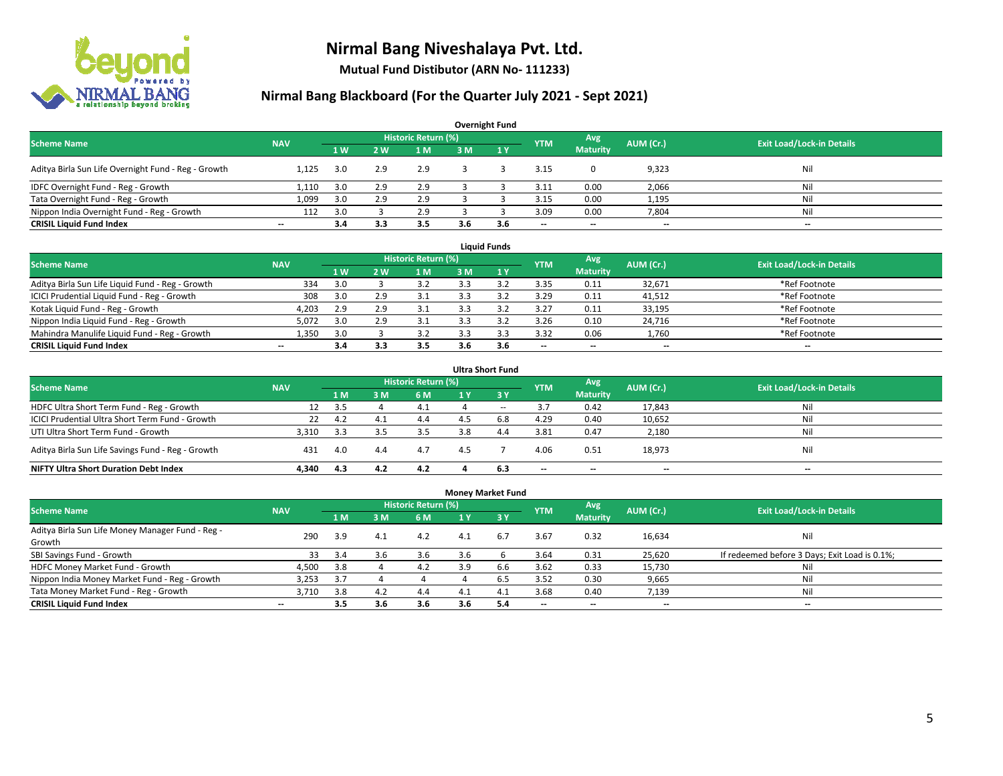

**Mutual Fund Distibutor (ARN No- 111233)**

| <b>Overnight Fund</b>                               |                          |     |     |                            |     |     |            |                 |           |                                  |  |  |  |  |
|-----------------------------------------------------|--------------------------|-----|-----|----------------------------|-----|-----|------------|-----------------|-----------|----------------------------------|--|--|--|--|
| <b>Scheme Name</b>                                  | <b>NAV</b>               |     |     | <b>Historic Return (%)</b> |     |     | <b>YTM</b> | Avg             | AUM (Cr.) | <b>Exit Load/Lock-in Details</b> |  |  |  |  |
|                                                     |                          | 1W  | 2 W | 1 <sub>M</sub>             | 3M  | 1Y  |            | <b>Maturity</b> |           |                                  |  |  |  |  |
| Aditya Birla Sun Life Overnight Fund - Reg - Growth | 1.125                    | 3.0 | 2.9 | 2.9                        |     |     | 3.15       | 0               | 9,323     | Nil                              |  |  |  |  |
| IDFC Overnight Fund - Reg - Growth                  | 1,110                    | 3.0 | 2.9 | 2.9                        |     |     | 3.11       | 0.00            | 2,066     | Nil                              |  |  |  |  |
| Tata Overnight Fund - Reg - Growth                  | 1,099                    | 3.0 |     | 2.9                        |     |     | 3.15       | 0.00            | 1,195     | Nil                              |  |  |  |  |
| Nippon India Overnight Fund - Reg - Growth          | 112                      | 3.0 |     | 2.9                        |     |     | 3.09       | 0.00            | 7,804     | Nil                              |  |  |  |  |
| <b>CRISIL Liquid Fund Index</b>                     | $\overline{\phantom{a}}$ | 3.4 | 3.3 | 3.5                        | 3.6 | 3.6 | $- -$      | $- -$           | $- -$     | $\overline{\phantom{a}}$         |  |  |  |  |

| <b>Liquid Funds</b>                              |            |     |     |                     |     |     |                          |                          |           |                                  |  |  |  |
|--------------------------------------------------|------------|-----|-----|---------------------|-----|-----|--------------------------|--------------------------|-----------|----------------------------------|--|--|--|
| <b>Scheme Name</b>                               | <b>NAV</b> |     |     | Historic Return (%) |     |     | <b>YTM</b>               | Avg                      | AUM (Cr.) | <b>Exit Load/Lock-in Details</b> |  |  |  |
|                                                  |            | 1W  | 2 W | 1 M                 | 3 M |     |                          | <b>Maturity</b>          |           |                                  |  |  |  |
| Aditya Birla Sun Life Liquid Fund - Reg - Growth | 334        | 3.0 |     |                     |     |     | 3.35                     | 0.11                     | 32.671    | *Ref Footnote                    |  |  |  |
| ICICI Prudential Liquid Fund - Reg - Growth      | 308        | 3.0 | 2.9 | 3.1                 |     |     | 3.29                     | 0.11                     | 41,512    | *Ref Footnote                    |  |  |  |
| Kotak Liquid Fund - Reg - Growth                 | 4,203      | 2.9 | 2.9 | 3.1                 |     |     | 3.27                     | 0.11                     | 33,195    | *Ref Footnote                    |  |  |  |
| Nippon India Liquid Fund - Reg - Growth          | 5,072      | 3.0 | 2.9 | 3.1                 |     |     | 3.26                     | 0.10                     | 24,716    | *Ref Footnote                    |  |  |  |
| Mahindra Manulife Liquid Fund - Reg - Growth     | 1.350      | 3.0 |     | 3.2                 |     |     | 3.32                     | 0.06                     | 1,760     | *Ref Footnote                    |  |  |  |
| <b>CRISIL Liquid Fund Index</b>                  | $- -$      | 3.4 | 3.3 | 3.5                 | 3.6 | 3.6 | $\overline{\phantom{a}}$ | $\overline{\phantom{a}}$ | $- -$     | $\overline{\phantom{a}}$         |  |  |  |

| <b>Ultra Short Fund</b>                           |            |      |      |                            |     |              |                          |                          |           |                                  |  |  |  |
|---------------------------------------------------|------------|------|------|----------------------------|-----|--------------|--------------------------|--------------------------|-----------|----------------------------------|--|--|--|
| <b>Scheme Name</b>                                | <b>NAV</b> |      |      | <b>Historic Return (%)</b> |     |              | <b>YTM</b>               | Avg                      | AUM (Cr.) | <b>Exit Load/Lock-in Details</b> |  |  |  |
|                                                   |            | 1 M  | 3 M  | 6 M                        | 1 Y | $\sqrt{3}$ Y |                          | <b>Maturity</b>          |           |                                  |  |  |  |
| HDFC Ultra Short Term Fund - Reg - Growth         | 12.        | -3.5 |      |                            |     | $- -$        | 3.7                      | 0.42                     | 17,843    | Nil                              |  |  |  |
| ICICI Prudential Ultra Short Term Fund - Growth   | 22         | 4.2  | -4.1 | 4.4                        | 4.5 | 6.8          | 4.29                     | 0.40                     | 10,652    | Nil                              |  |  |  |
| UTI Ultra Short Term Fund - Growth                | 3,310      | -3.3 | 3.5  | 3.5                        | 3.8 | 4.4          | 3.81                     | 0.47                     | 2,180     | Nil                              |  |  |  |
| Aditya Birla Sun Life Savings Fund - Reg - Growth | 431        | 4.0  | 4.4  | 4.7                        | 4.5 |              | 4.06                     | 0.51                     | 18,973    | Nil                              |  |  |  |
| <b>NIFTY Ultra Short Duration Debt Index</b>      | 4.340      | 4.3  | 4.2  | 4.2                        |     | 6.3          | $\overline{\phantom{a}}$ | $\overline{\phantom{a}}$ | --        | $-$                              |  |  |  |

| <b>Money Market Fund</b>                         |                          |     |     |                     |     |            |                          |                          |                          |                                               |  |  |  |  |
|--------------------------------------------------|--------------------------|-----|-----|---------------------|-----|------------|--------------------------|--------------------------|--------------------------|-----------------------------------------------|--|--|--|--|
| <b>Scheme Name</b>                               | <b>NAV</b>               |     |     | Historic Return (%) |     |            | <b>YTM</b>               | Avg                      | AUM (Cr.)                | <b>Exit Load/Lock-in Details</b>              |  |  |  |  |
|                                                  |                          | 4 M | 3M  | 6 M                 | 1 Y | <b>73Y</b> |                          | <b>Maturity</b>          |                          |                                               |  |  |  |  |
| Aditya Birla Sun Life Money Manager Fund - Reg - | 290                      | 3.9 | 4.1 | 4.2                 | 4.1 | 6.7        | 3.67                     | 0.32                     | 16,634                   | Nil                                           |  |  |  |  |
| Growth                                           |                          |     |     |                     |     |            |                          |                          |                          |                                               |  |  |  |  |
| SBI Savings Fund - Growth                        | 33                       | 3.4 | 3.6 | 3.6                 | 3.b |            | 3.64                     | 0.31                     | 25,620                   | If redeemed before 3 Days; Exit Load is 0.1%; |  |  |  |  |
| HDFC Money Market Fund - Growth                  | 4,500                    | 3.8 |     | 4.2                 | 3.9 | 6.6        | 3.62                     | 0.33                     | 15,730                   | Nil                                           |  |  |  |  |
| Nippon India Money Market Fund - Reg - Growth    | 3,253                    | 3.7 |     |                     |     | 6.5        | 3.52                     | 0.30                     | 9,665                    | Ni                                            |  |  |  |  |
| Tata Money Market Fund - Reg - Growth            | 3.710                    | 3.8 | 4.2 | 4.4                 | 4.1 | 4.1        | 3.68                     | 0.40                     | 7,139                    | Ni                                            |  |  |  |  |
| <b>CRISIL Liquid Fund Index</b>                  | $\overline{\phantom{a}}$ | 3.5 | 3.6 | 3.6                 | 3.6 | 5.4        | $\overline{\phantom{a}}$ | $\overline{\phantom{a}}$ | $\overline{\phantom{a}}$ | $- -$                                         |  |  |  |  |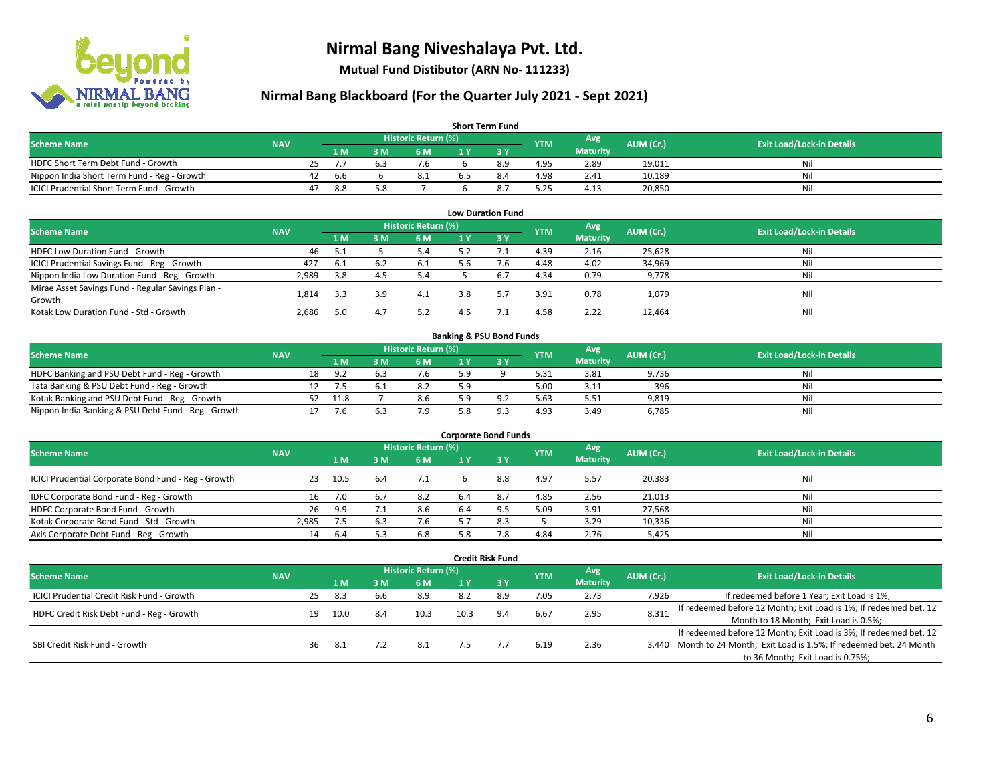

**Mutual Fund Distibutor (ARN No- 111233)**

| <b>Short Term Fund</b>                           |            |    |      |     |                     |  |     |            |                 |           |                                  |  |  |  |
|--------------------------------------------------|------------|----|------|-----|---------------------|--|-----|------------|-----------------|-----------|----------------------------------|--|--|--|
| <b>Scheme Name</b>                               | <b>NAV</b> |    |      |     | Historic Return (%) |  |     | <b>YTM</b> | Avg             | AUM (Cr.) | <b>Exit Load/Lock-in Details</b> |  |  |  |
|                                                  |            |    | 1 M  | 3 M | 6 M                 |  |     |            | <b>Maturity</b> |           |                                  |  |  |  |
| HDFC Short Term Debt Fund - Growth               |            | 25 |      |     | 7.6                 |  | 8.9 | 4.95       | 2.89            | 19.011    | Nil                              |  |  |  |
| Nippon India Short Term Fund - Reg - Growth      |            | 42 | -6.6 |     | 8.1                 |  | 8.4 | 4.98       | 2.41            | 10.189    | Nil                              |  |  |  |
| <b>ICICI Prudential Short Term Fund - Growth</b> |            | 47 | 8.8  |     |                     |  |     | 5.25       | 4.13            | 20,850    | Nil                              |  |  |  |

| <b>Low Duration Fund</b>                          |            |     |     |                     |     |     |            |                 |           |                                  |  |  |  |
|---------------------------------------------------|------------|-----|-----|---------------------|-----|-----|------------|-----------------|-----------|----------------------------------|--|--|--|
| <b>Scheme Name</b>                                | <b>NAV</b> |     |     | Historic Return (%) |     |     | <b>YTM</b> | Avg             | AUM (Cr.) | <b>Exit Load/Lock-in Details</b> |  |  |  |
|                                                   |            | 1 M | 3 M | 6 M                 |     | 3Y  |            | <b>Maturity</b> |           |                                  |  |  |  |
| HDFC Low Duration Fund - Growth                   | 46         | 5.1 |     | 5.4                 | 5.2 |     | 4.39       | 2.16            | 25,628    | Nil                              |  |  |  |
| ICICI Prudential Savings Fund - Reg - Growth      | 427        | 6.1 | 6.2 | 6.1                 | 5.6 | 7.6 | 4.48       | 4.02            | 34,969    | Nil                              |  |  |  |
| Nippon India Low Duration Fund - Reg - Growth     | 2,989      | 3.8 | 4.5 | 5.4                 |     | 6.7 | 4.34       | 0.79            | 9,778     | Nil                              |  |  |  |
| Mirae Asset Savings Fund - Regular Savings Plan - | 1.814      |     | 3.9 | 4.1                 | 3.8 |     | 3.91       | 0.78            |           | Nil                              |  |  |  |
| Growth                                            |            | 3.3 |     |                     |     |     |            |                 | 1,079     |                                  |  |  |  |
| Kotak Low Duration Fund - Std - Growth            | 2,686      | 5.0 | 4.  | 5.2                 | 4.5 |     | 4.58       | 2.22            | 12,464    | Nil                              |  |  |  |

| <b>Banking &amp; PSU Bond Funds</b>                 |            |    |      |     |                     |  |       |            |                 |           |                                  |  |  |  |
|-----------------------------------------------------|------------|----|------|-----|---------------------|--|-------|------------|-----------------|-----------|----------------------------------|--|--|--|
| <b>Scheme Name</b>                                  | <b>NAV</b> |    |      |     | Historic Return (%) |  |       | <b>YTM</b> | Avg             | AUM (Cr.) | <b>Exit Load/Lock-in Details</b> |  |  |  |
|                                                     |            |    | 4 M. | ያ M | 6 M                 |  |       |            | <b>Maturity</b> |           |                                  |  |  |  |
| HDFC Banking and PSU Debt Fund - Reg - Growth       |            | 18 | 9.2  |     | 7.6                 |  |       | 5.31       | 3.81            | 9,736     | Nil                              |  |  |  |
| Tata Banking & PSU Debt Fund - Reg - Growth         |            |    |      |     |                     |  | $- -$ | 5.00       | 3.11            | 396       | Nil                              |  |  |  |
| Kotak Banking and PSU Debt Fund - Reg - Growth      |            |    | 11.8 |     | 8.6                 |  |       | 5.63       | 5.51            | 9,819     | Nil                              |  |  |  |
| Nippon India Banking & PSU Debt Fund - Reg - Growth |            |    | 7.6  |     | 7.9                 |  |       | 4.93       | 3.49            | 6.785     | Nil                              |  |  |  |

| <b>Corporate Bond Funds</b>                         |            |      |     |                     |     |      |            |                 |           |                                  |  |
|-----------------------------------------------------|------------|------|-----|---------------------|-----|------|------------|-----------------|-----------|----------------------------------|--|
| <b>Scheme Name</b>                                  | <b>NAV</b> |      |     | Historic Return (%) |     |      | <b>YTM</b> | Avg             | AUM (Cr.) | <b>Exit Load/Lock-in Details</b> |  |
|                                                     |            | 1 M  | з м | 6 M                 |     | -3 Y |            | <b>Maturity</b> |           |                                  |  |
| ICICI Prudential Corporate Bond Fund - Reg - Growth | 23         | 10.5 | 6.4 | 7.1                 |     | 8.8  | 4.97       | 5.57            | 20,383    | Nil                              |  |
| IDFC Corporate Bond Fund - Reg - Growth             | 16         | 7.0  |     | 8.2                 | 6.4 | 8.7  | 4.85       | 2.56            | 21,013    | Nil                              |  |
| HDFC Corporate Bond Fund - Growth                   | 26         | 9.9  |     | 8.6                 | 6.4 |      | 5.09       | 3.91            | 27,568    | Nil                              |  |
| Kotak Corporate Bond Fund - Std - Growth            | 2.985      | 7.5  |     | 7.6                 |     |      |            | 3.29            | 10,336    | Nil                              |  |
| Axis Corporate Debt Fund - Reg - Growth             | 14         | -6.4 |     | 6.8                 | 5.8 | 7.8  | 4.84       | 2.76            | 5,425     | Nil                              |  |

|                                            |            |                            |      |     |      |      | <b>Credit Risk Fund</b> |            |                 |           |                                                                       |
|--------------------------------------------|------------|----------------------------|------|-----|------|------|-------------------------|------------|-----------------|-----------|-----------------------------------------------------------------------|
| <b>Scheme Name</b>                         | <b>NAV</b> | <b>Historic Return (%)</b> |      |     |      |      |                         | <b>YTM</b> | Avg             | AUM (Cr.) | <b>Exit Load/Lock-in Details</b>                                      |
|                                            |            |                            | 1 M  | 3 M | 6 M  | 1 Y  | $-3V$                   |            | <b>Maturity</b> |           |                                                                       |
| ICICI Prudential Credit Risk Fund - Growth |            | 25                         | 8.3  | b.b | 8.9  | 8.2  | 8.9                     | 7.05       | 2.73            | 7,926     | If redeemed before 1 Year; Exit Load is 1%;                           |
| HDFC Credit Risk Debt Fund - Reg - Growth  |            | 19                         | 10.0 | 8.4 | 10.3 | 10.3 | 9.4                     | 6.67       | 2.95            | 8,311     | If redeemed before 12 Month; Exit Load is 1%; If redeemed bet. 12     |
|                                            |            |                            |      |     |      |      |                         |            |                 |           | Month to 18 Month; Exit Load is 0.5%;                                 |
|                                            |            |                            |      |     |      |      |                         |            |                 |           | If redeemed before 12 Month; Exit Load is 3%; If redeemed bet. 12     |
| SBI Credit Risk Fund - Growth              |            | 36                         | -8.1 |     | 8.1  |      |                         | 6.19       | 2.36            |           | 3,440 Month to 24 Month; Exit Load is 1.5%; If redeemed bet. 24 Month |
|                                            |            |                            |      |     |      |      |                         |            |                 |           | to 36 Month; Exit Load is 0.75%;                                      |